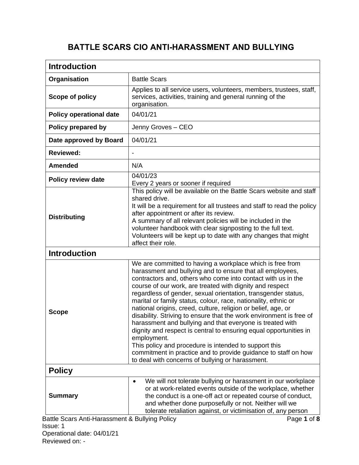## **BATTLE SCARS CIO ANTI-HARASSMENT AND BULLYING**

| <b>Introduction</b>                                        |                                                                                                                                                                                                                                                                                                                                                                                                                                                                                                                                                                                                                                                                                                                                                                                                                                                               |
|------------------------------------------------------------|---------------------------------------------------------------------------------------------------------------------------------------------------------------------------------------------------------------------------------------------------------------------------------------------------------------------------------------------------------------------------------------------------------------------------------------------------------------------------------------------------------------------------------------------------------------------------------------------------------------------------------------------------------------------------------------------------------------------------------------------------------------------------------------------------------------------------------------------------------------|
| Organisation                                               | <b>Battle Scars</b>                                                                                                                                                                                                                                                                                                                                                                                                                                                                                                                                                                                                                                                                                                                                                                                                                                           |
| Scope of policy                                            | Applies to all service users, volunteers, members, trustees, staff,<br>services, activities, training and general running of the<br>organisation.                                                                                                                                                                                                                                                                                                                                                                                                                                                                                                                                                                                                                                                                                                             |
| <b>Policy operational date</b>                             | 04/01/21                                                                                                                                                                                                                                                                                                                                                                                                                                                                                                                                                                                                                                                                                                                                                                                                                                                      |
| Policy prepared by                                         | Jenny Groves - CEO                                                                                                                                                                                                                                                                                                                                                                                                                                                                                                                                                                                                                                                                                                                                                                                                                                            |
| Date approved by Board                                     | 04/01/21                                                                                                                                                                                                                                                                                                                                                                                                                                                                                                                                                                                                                                                                                                                                                                                                                                                      |
| <b>Reviewed:</b>                                           | $\overline{\phantom{a}}$                                                                                                                                                                                                                                                                                                                                                                                                                                                                                                                                                                                                                                                                                                                                                                                                                                      |
| <b>Amended</b>                                             | N/A                                                                                                                                                                                                                                                                                                                                                                                                                                                                                                                                                                                                                                                                                                                                                                                                                                                           |
| <b>Policy review date</b>                                  | 04/01/23<br>Every 2 years or sooner if required                                                                                                                                                                                                                                                                                                                                                                                                                                                                                                                                                                                                                                                                                                                                                                                                               |
| <b>Distributing</b>                                        | This policy will be available on the Battle Scars website and staff<br>shared drive.<br>It will be a requirement for all trustees and staff to read the policy<br>after appointment or after its review.<br>A summary of all relevant policies will be included in the<br>volunteer handbook with clear signposting to the full text.<br>Volunteers will be kept up to date with any changes that might<br>affect their role.                                                                                                                                                                                                                                                                                                                                                                                                                                 |
| <b>Introduction</b>                                        |                                                                                                                                                                                                                                                                                                                                                                                                                                                                                                                                                                                                                                                                                                                                                                                                                                                               |
| <b>Scope</b>                                               | We are committed to having a workplace which is free from<br>harassment and bullying and to ensure that all employees,<br>contractors and, others who come into contact with us in the<br>course of our work, are treated with dignity and respect<br>regardless of gender, sexual orientation, transgender status,<br>marital or family status, colour, race, nationality, ethnic or<br>national origins, creed, culture, religion or belief, age, or<br>disability. Striving to ensure that the work environment is free of<br>harassment and bullying and that everyone is treated with<br>dignity and respect is central to ensuring equal opportunities in<br>employment.<br>This policy and procedure is intended to support this<br>commitment in practice and to provide guidance to staff on how<br>to deal with concerns of bullying or harassment. |
| <b>Policy</b>                                              |                                                                                                                                                                                                                                                                                                                                                                                                                                                                                                                                                                                                                                                                                                                                                                                                                                                               |
| <b>Summary</b>                                             | We will not tolerate bullying or harassment in our workplace<br>$\bullet$<br>or at work-related events outside of the workplace, whether<br>the conduct is a one-off act or repeated course of conduct,<br>and whether done purposefully or not. Neither will we<br>tolerate retaliation against, or victimisation of, any person                                                                                                                                                                                                                                                                                                                                                                                                                                                                                                                             |
| Battle Scars Anti-Harassment & Bullying Policy<br>Issue: 1 | Page 1 of 8                                                                                                                                                                                                                                                                                                                                                                                                                                                                                                                                                                                                                                                                                                                                                                                                                                                   |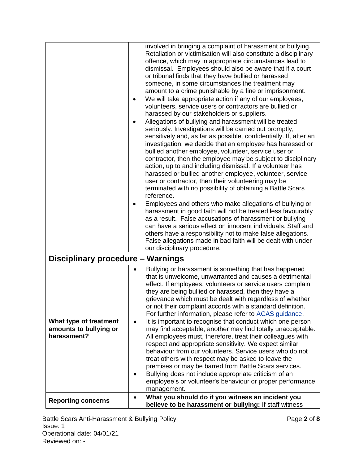|                                                                 |                        | involved in bringing a complaint of harassment or bullying.<br>Retaliation or victimisation will also constitute a disciplinary<br>offence, which may in appropriate circumstances lead to<br>dismissal. Employees should also be aware that if a court<br>or tribunal finds that they have bullied or harassed<br>someone, in some circumstances the treatment may<br>amount to a crime punishable by a fine or imprisonment.<br>We will take appropriate action if any of our employees,<br>volunteers, service users or contractors are bullied or<br>harassed by our stakeholders or suppliers.<br>Allegations of bullying and harassment will be treated<br>seriously. Investigations will be carried out promptly,<br>sensitively and, as far as possible, confidentially. If, after an<br>investigation, we decide that an employee has harassed or<br>bullied another employee, volunteer, service user or<br>contractor, then the employee may be subject to disciplinary<br>action, up to and including dismissal. If a volunteer has<br>harassed or bullied another employee, volunteer, service<br>user or contractor, then their volunteering may be<br>terminated with no possibility of obtaining a Battle Scars<br>reference.<br>Employees and others who make allegations of bullying or<br>harassment in good faith will not be treated less favourably<br>as a result. False accusations of harassment or bullying<br>can have a serious effect on innocent individuals. Staff and<br>others have a responsibility not to make false allegations.<br>False allegations made in bad faith will be dealt with under<br>our disciplinary procedure. |
|-----------------------------------------------------------------|------------------------|---------------------------------------------------------------------------------------------------------------------------------------------------------------------------------------------------------------------------------------------------------------------------------------------------------------------------------------------------------------------------------------------------------------------------------------------------------------------------------------------------------------------------------------------------------------------------------------------------------------------------------------------------------------------------------------------------------------------------------------------------------------------------------------------------------------------------------------------------------------------------------------------------------------------------------------------------------------------------------------------------------------------------------------------------------------------------------------------------------------------------------------------------------------------------------------------------------------------------------------------------------------------------------------------------------------------------------------------------------------------------------------------------------------------------------------------------------------------------------------------------------------------------------------------------------------------------------------------------------------------------------------------------------------------|
| Disciplinary procedure - Warnings                               |                        |                                                                                                                                                                                                                                                                                                                                                                                                                                                                                                                                                                                                                                                                                                                                                                                                                                                                                                                                                                                                                                                                                                                                                                                                                                                                                                                                                                                                                                                                                                                                                                                                                                                                     |
| What type of treatment<br>amounts to bullying or<br>harassment? | $\bullet$<br>$\bullet$ | Bullying or harassment is something that has happened<br>that is unwelcome, unwarranted and causes a detrimental<br>effect. If employees, volunteers or service users complain<br>they are being bullied or harassed, then they have a<br>grievance which must be dealt with regardless of whether<br>or not their complaint accords with a standard definition.<br>For further information, please refer to ACAS guidance.<br>It is important to recognise that conduct which one person<br>may find acceptable, another may find totally unacceptable.<br>All employees must, therefore, treat their colleagues with<br>respect and appropriate sensitivity. We expect similar<br>behaviour from our volunteers. Service users who do not<br>treat others with respect may be asked to leave the<br>premises or may be barred from Battle Scars services.<br>Bullying does not include appropriate criticism of an<br>employee's or volunteer's behaviour or proper performance<br>management.<br>What you should do if you witness an incident you                                                                                                                                                                                                                                                                                                                                                                                                                                                                                                                                                                                                               |
| <b>Reporting concerns</b>                                       |                        | believe to be harassment or bullying: If staff witness                                                                                                                                                                                                                                                                                                                                                                                                                                                                                                                                                                                                                                                                                                                                                                                                                                                                                                                                                                                                                                                                                                                                                                                                                                                                                                                                                                                                                                                                                                                                                                                                              |

Battle Scars Anti-Harassment & Bullying Policy **Page 2** of 8 Issue: 1 Operational date: 04/01/21 Reviewed on: -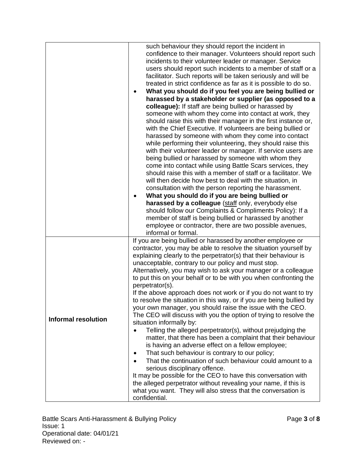|                            | such behaviour they should report the incident in                      |
|----------------------------|------------------------------------------------------------------------|
|                            | confidence to their manager. Volunteers should report such             |
|                            | incidents to their volunteer leader or manager. Service                |
|                            | users should report such incidents to a member of staff or a           |
|                            | facilitator. Such reports will be taken seriously and will be          |
|                            | treated in strict confidence as far as it is possible to do so.        |
|                            |                                                                        |
|                            | What you should do if you feel you are being bullied or<br>$\bullet$   |
|                            | harassed by a stakeholder or supplier (as opposed to a                 |
|                            | colleague): If staff are being bullied or harassed by                  |
|                            | someone with whom they come into contact at work, they                 |
|                            | should raise this with their manager in the first instance or,         |
|                            | with the Chief Executive. If volunteers are being bullied or           |
|                            | harassed by someone with whom they come into contact                   |
|                            | while performing their volunteering, they should raise this            |
|                            | with their volunteer leader or manager. If service users are           |
|                            | being bullied or harassed by someone with whom they                    |
|                            | come into contact while using Battle Scars services, they              |
|                            | should raise this with a member of staff or a facilitator. We          |
|                            | will then decide how best to deal with the situation, in               |
|                            | consultation with the person reporting the harassment.                 |
|                            | What you should do if you are being bullied or<br>٠                    |
|                            | harassed by a colleague (staff only, everybody else                    |
|                            | should follow our Complaints & Compliments Policy): If a               |
|                            | member of staff is being bullied or harassed by another                |
|                            | employee or contractor, there are two possible avenues,                |
|                            | informal or formal.                                                    |
|                            | If you are being bullied or harassed by another employee or            |
|                            | contractor, you may be able to resolve the situation yourself by       |
|                            |                                                                        |
|                            | explaining clearly to the perpetrator(s) that their behaviour is       |
|                            | unacceptable, contrary to our policy and must stop.                    |
|                            | Alternatively, you may wish to ask your manager or a colleague         |
|                            | to put this on your behalf or to be with you when confronting the      |
|                            | perpetrator(s).                                                        |
|                            | If the above approach does not work or if you do not want to try       |
|                            | to resolve the situation in this way, or if you are being bullied by   |
|                            | your own manager, you should raise the issue with the CEO.             |
| <b>Informal resolution</b> | The CEO will discuss with you the option of trying to resolve the      |
|                            | situation informally by:                                               |
|                            | Telling the alleged perpetrator(s), without prejudging the             |
|                            | matter, that there has been a complaint that their behaviour           |
|                            | is having an adverse effect on a fellow employee;                      |
|                            | That such behaviour is contrary to our policy;<br>٠                    |
|                            | That the continuation of such behaviour could amount to a<br>$\bullet$ |
|                            | serious disciplinary offence.                                          |
|                            | It may be possible for the CEO to have this conversation with          |
|                            | the alleged perpetrator without revealing your name, if this is        |
|                            | what you want. They will also stress that the conversation is          |
|                            | confidential.                                                          |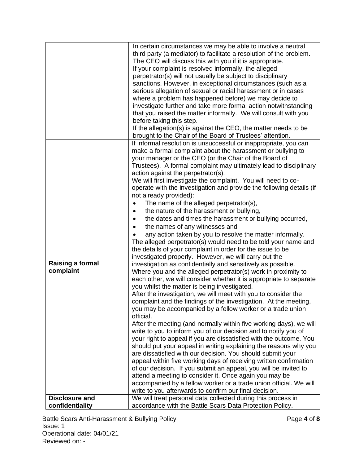|                                                               | In certain circumstances we may be able to involve a neutral<br>third party (a mediator) to facilitate a resolution of the problem.<br>The CEO will discuss this with you if it is appropriate.<br>If your complaint is resolved informally, the alleged<br>perpetrator(s) will not usually be subject to disciplinary<br>sanctions. However, in exceptional circumstances (such as a<br>serious allegation of sexual or racial harassment or in cases<br>where a problem has happened before) we may decide to<br>investigate further and take more formal action notwithstanding<br>that you raised the matter informally. We will consult with you<br>before taking this step.<br>If the allegation(s) is against the CEO, the matter needs to be<br>brought to the Chair of the Board of Trustees' attention.                                                                                                                                                                                                                                                                                                                                                                                                                                                                                                                                                                                                                                                                                                                                                                                                                                                                                                                                                                                                                                                                                                                                                                                                                                                             |
|---------------------------------------------------------------|-------------------------------------------------------------------------------------------------------------------------------------------------------------------------------------------------------------------------------------------------------------------------------------------------------------------------------------------------------------------------------------------------------------------------------------------------------------------------------------------------------------------------------------------------------------------------------------------------------------------------------------------------------------------------------------------------------------------------------------------------------------------------------------------------------------------------------------------------------------------------------------------------------------------------------------------------------------------------------------------------------------------------------------------------------------------------------------------------------------------------------------------------------------------------------------------------------------------------------------------------------------------------------------------------------------------------------------------------------------------------------------------------------------------------------------------------------------------------------------------------------------------------------------------------------------------------------------------------------------------------------------------------------------------------------------------------------------------------------------------------------------------------------------------------------------------------------------------------------------------------------------------------------------------------------------------------------------------------------------------------------------------------------------------------------------------------------|
| <b>Raising a formal</b><br>complaint<br><b>Disclosure and</b> | If informal resolution is unsuccessful or inappropriate, you can<br>make a formal complaint about the harassment or bullying to<br>your manager or the CEO (or the Chair of the Board of<br>Trustees). A formal complaint may ultimately lead to disciplinary<br>action against the perpetrator(s).<br>We will first investigate the complaint. You will need to co-<br>operate with the investigation and provide the following details (if<br>not already provided):<br>The name of the alleged perpetrator(s),<br>the nature of the harassment or bullying,<br>the dates and times the harassment or bullying occurred,<br>the names of any witnesses and<br>any action taken by you to resolve the matter informally.<br>The alleged perpetrator(s) would need to be told your name and<br>the details of your complaint in order for the issue to be<br>investigated properly. However, we will carry out the<br>investigation as confidentially and sensitively as possible.<br>Where you and the alleged perpetrator(s) work in proximity to<br>each other, we will consider whether it is appropriate to separate<br>you whilst the matter is being investigated.<br>After the investigation, we will meet with you to consider the<br>complaint and the findings of the investigation. At the meeting,<br>you may be accompanied by a fellow worker or a trade union<br>official.<br>After the meeting (and normally within five working days), we will<br>write to you to inform you of our decision and to notify you of<br>your right to appeal if you are dissatisfied with the outcome. You<br>should put your appeal in writing explaining the reasons why you<br>are dissatisfied with our decision. You should submit your<br>appeal within five working days of receiving written confirmation<br>of our decision. If you submit an appeal, you will be invited to<br>attend a meeting to consider it. Once again you may be<br>accompanied by a fellow worker or a trade union official. We will<br>write to you afterwards to confirm our final decision. |
| confidentiality                                               | We will treat personal data collected during this process in<br>accordance with the Battle Scars Data Protection Policy.                                                                                                                                                                                                                                                                                                                                                                                                                                                                                                                                                                                                                                                                                                                                                                                                                                                                                                                                                                                                                                                                                                                                                                                                                                                                                                                                                                                                                                                                                                                                                                                                                                                                                                                                                                                                                                                                                                                                                      |

Battle Scars Anti-Harassment & Bullying Policy **Page 4** of 8 Issue: 1 Operational date: 04/01/21 Reviewed on: -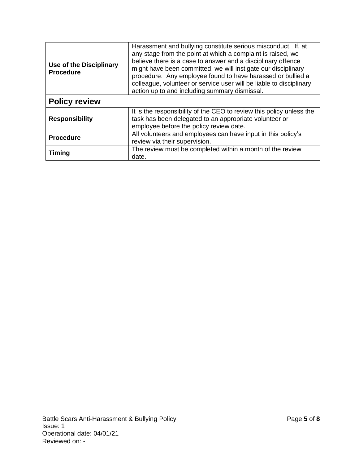| <b>Use of the Disciplinary</b><br><b>Procedure</b> | Harassment and bullying constitute serious misconduct. If, at<br>any stage from the point at which a complaint is raised, we<br>believe there is a case to answer and a disciplinary offence<br>might have been committed, we will instigate our disciplinary<br>procedure. Any employee found to have harassed or bullied a<br>colleague, volunteer or service user will be liable to disciplinary<br>action up to and including summary dismissal. |
|----------------------------------------------------|------------------------------------------------------------------------------------------------------------------------------------------------------------------------------------------------------------------------------------------------------------------------------------------------------------------------------------------------------------------------------------------------------------------------------------------------------|
| <b>Policy review</b>                               |                                                                                                                                                                                                                                                                                                                                                                                                                                                      |
| <b>Responsibility</b>                              | It is the responsibility of the CEO to review this policy unless the<br>task has been delegated to an appropriate volunteer or<br>employee before the policy review date.                                                                                                                                                                                                                                                                            |
| <b>Procedure</b>                                   | All volunteers and employees can have input in this policy's<br>review via their supervision.                                                                                                                                                                                                                                                                                                                                                        |
| <b>Timing</b>                                      | The review must be completed within a month of the review<br>date.                                                                                                                                                                                                                                                                                                                                                                                   |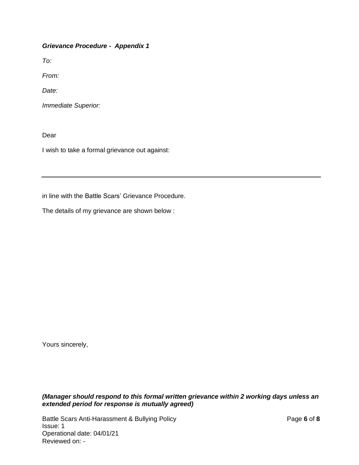*Grievance Procedure - Appendix 1*

*To:*

*From:*

*Date:*

*Immediate Superior:*

Dear

I wish to take a formal grievance out against:

in line with the Battle Scars' Grievance Procedure.

The details of my grievance are shown below :

Yours sincerely,

*(Manager should respond to this formal written grievance within 2 working days unless an extended period for response is mutually agreed)*

Battle Scars Anti-Harassment & Bullying Policy **Page 6** of 8 Issue: 1 Operational date: 04/01/21 Reviewed on: -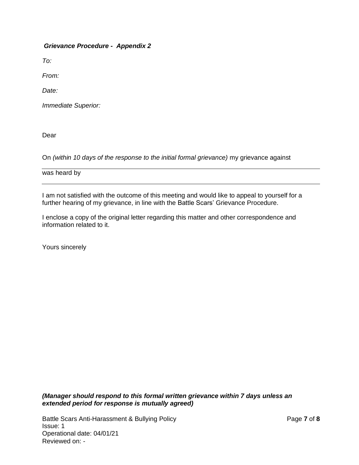*Grievance Procedure - Appendix 2*

*To:*

*From:*

*Date:*

*Immediate Superior:*

Dear

On *(within 10 days of the response to the initial formal grievance)* my grievance against

was heard by

I am not satisfied with the outcome of this meeting and would like to appeal to yourself for a further hearing of my grievance, in line with the Battle Scars' Grievance Procedure.

I enclose a copy of the original letter regarding this matter and other correspondence and information related to it.

Yours sincerely

*(Manager should respond to this formal written grievance within 7 days unless an extended period for response is mutually agreed)*

Battle Scars Anti-Harassment & Bullying Policy Page **7** of **8** Issue: 1 Operational date: 04/01/21 Reviewed on: -